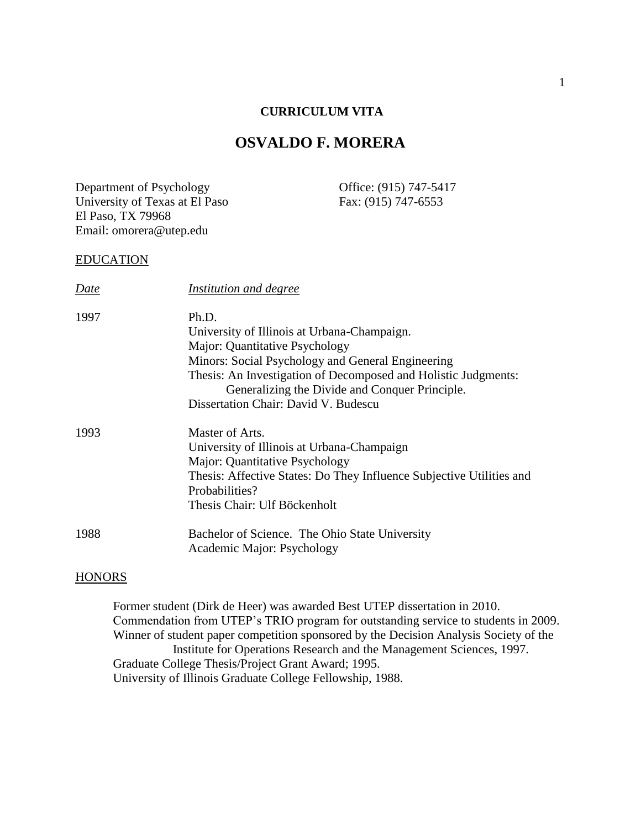## **CURRICULUM VITA**

# **OSVALDO F. MORERA**

Department of Psychology Office: (915) 747-5417 University of Texas at El Paso Fax: (915) 747-6553 El Paso, TX 79968 Email: omorera@utep.edu

#### EDUCATION

| Date | Institution and degree                                               |
|------|----------------------------------------------------------------------|
| 1997 | Ph.D.                                                                |
|      | University of Illinois at Urbana-Champaign.                          |
|      | Major: Quantitative Psychology                                       |
|      | Minors: Social Psychology and General Engineering                    |
|      | Thesis: An Investigation of Decomposed and Holistic Judgments:       |
|      | Generalizing the Divide and Conquer Principle.                       |
|      | Dissertation Chair: David V. Budescu                                 |
| 1993 | Master of Arts.                                                      |
|      | University of Illinois at Urbana-Champaign                           |
|      | Major: Quantitative Psychology                                       |
|      | Thesis: Affective States: Do They Influence Subjective Utilities and |
|      | Probabilities?                                                       |
|      | Thesis Chair: Ulf Böckenholt                                         |
| 1988 | Bachelor of Science. The Ohio State University                       |
|      | Academic Major: Psychology                                           |

### **HONORS**

Former student (Dirk de Heer) was awarded Best UTEP dissertation in 2010. Commendation from UTEP's TRIO program for outstanding service to students in 2009. Winner of student paper competition sponsored by the Decision Analysis Society of the Institute for Operations Research and the Management Sciences, 1997. Graduate College Thesis/Project Grant Award; 1995. University of Illinois Graduate College Fellowship, 1988.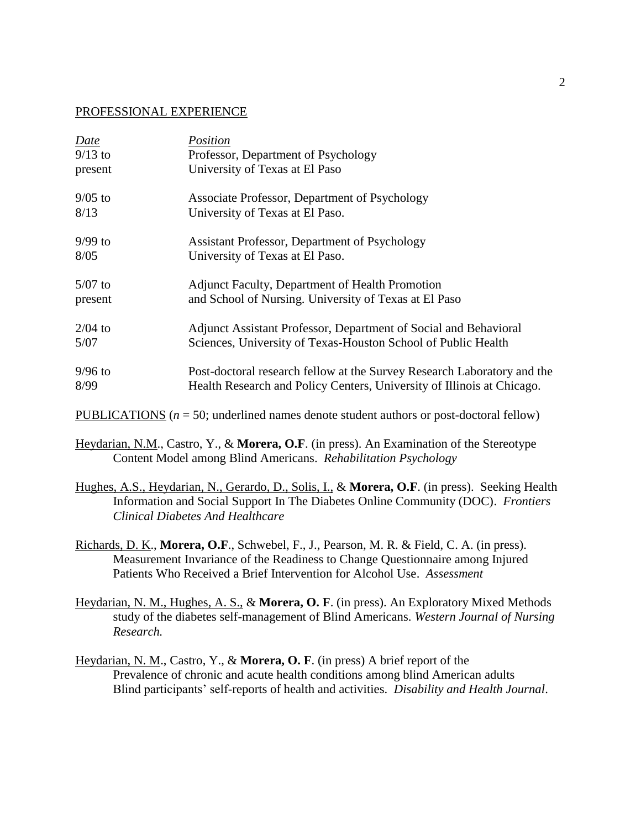### PROFESSIONAL EXPERIENCE

| Date      | Position                                                                                   |
|-----------|--------------------------------------------------------------------------------------------|
| $9/13$ to | Professor, Department of Psychology                                                        |
| present   | University of Texas at El Paso                                                             |
| $9/05$ to | Associate Professor, Department of Psychology                                              |
| 8/13      | University of Texas at El Paso.                                                            |
| $9/99$ to | Assistant Professor, Department of Psychology                                              |
| 8/05      | University of Texas at El Paso.                                                            |
| $5/07$ to | Adjunct Faculty, Department of Health Promotion                                            |
| present   | and School of Nursing. University of Texas at El Paso                                      |
| $2/04$ to | Adjunct Assistant Professor, Department of Social and Behavioral                           |
| 5/07      | Sciences, University of Texas-Houston School of Public Health                              |
| $9/96$ to | Post-doctoral research fellow at the Survey Research Laboratory and the                    |
| 8/99      | Health Research and Policy Centers, University of Illinois at Chicago.                     |
|           | PUBLICATIONS ( $n = 50$ ; underlined names denote student authors or post-doctoral fellow) |

Heydarian, N.M., Castro, Y., & **Morera, O.F**. (in press). An Examination of the Stereotype Content Model among Blind Americans. *Rehabilitation Psychology*

Hughes, A.S., Heydarian, N., Gerardo, D., Solis, I., & **Morera, O.F**. (in press). Seeking Health Information and Social Support In The Diabetes Online Community (DOC). *Frontiers Clinical Diabetes And Healthcare* 

Richards, D. K., **Morera, O.F**., Schwebel, F., J., Pearson, M. R. & Field, C. A. (in press). Measurement Invariance of the Readiness to Change Questionnaire among Injured Patients Who Received a Brief Intervention for Alcohol Use. *Assessment*

Heydarian, N. M., Hughes, A. S., & **Morera, O. F**. (in press). An Exploratory Mixed Methods study of the diabetes self-management of Blind Americans. *Western Journal of Nursing Research.*

Heydarian, N. M., Castro, Y., & **Morera, O. F**. (in press) A brief report of the Prevalence of chronic and acute health conditions among blind American adults Blind participants' self-reports of health and activities. *Disability and Health Journal*.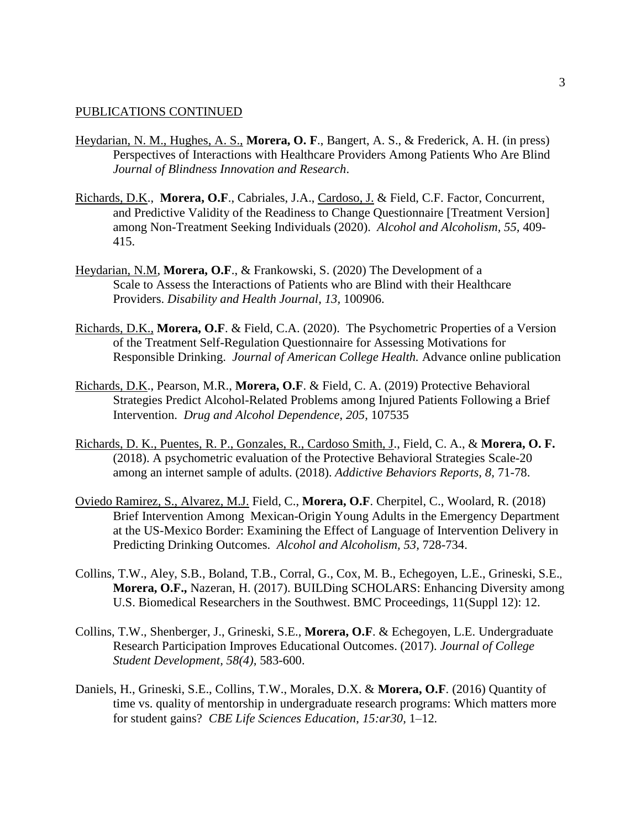- Heydarian, N. M., Hughes, A. S., **Morera, O. F**., Bangert, A. S., & Frederick, A. H. (in press) Perspectives of Interactions with Healthcare Providers Among Patients Who Are Blind *Journal of Blindness Innovation and Research*.
- Richards, D.K., **Morera, O.F**., Cabriales, J.A., Cardoso, J. & Field, C.F. Factor, Concurrent, and Predictive Validity of the Readiness to Change Questionnaire [Treatment Version] among Non-Treatment Seeking Individuals (2020). *Alcohol and Alcoholism, 55,* 409- 415.
- Heydarian, N.M, **Morera, O.F**., & Frankowski, S. (2020) The Development of a Scale to Assess the Interactions of Patients who are Blind with their Healthcare Providers. *Disability and Health Journal*, *13,* 100906.
- Richards, D.K., **Morera, O.F**. & Field, C.A. (2020). The Psychometric Properties of a Version of the Treatment Self-Regulation Questionnaire for Assessing Motivations for Responsible Drinking. *Journal of American College Health.* Advance online publication
- Richards, D.K., Pearson, M.R., **Morera, O.F**. & Field, C. A. (2019) Protective Behavioral Strategies Predict Alcohol-Related Problems among Injured Patients Following a Brief Intervention. *Drug and Alcohol Dependence*, *205*, 107535
- Richards, D. K., Puentes, R. P., Gonzales, R., Cardoso Smith, J., Field, C. A., & **Morera, O. F.** (2018). A psychometric evaluation of the Protective Behavioral Strategies Scale-20 among an internet sample of adults. (2018). *Addictive Behaviors Reports, 8,* 71-78.
- Oviedo Ramirez, S., Alvarez, M.J. Field, C., **Morera, O.F**. Cherpitel, C., Woolard, R. (2018) Brief Intervention Among Mexican-Origin Young Adults in the Emergency Department at the US-Mexico Border: Examining the Effect of Language of Intervention Delivery in Predicting Drinking Outcomes. *Alcohol and Alcoholism, 53,* 728-734.
- Collins, T.W., Aley, S.B., Boland, T.B., Corral, G., Cox, M. B., Echegoyen, L.E., Grineski, S.E., **Morera, O.F.,** Nazeran, H. (2017). BUILDing SCHOLARS: Enhancing Diversity among U.S. Biomedical Researchers in the Southwest. BMC Proceedings, 11(Suppl 12): 12.
- Collins, T.W., Shenberger, J., Grineski, S.E., **Morera, O.F**. & Echegoyen, L.E. Undergraduate Research Participation Improves Educational Outcomes. (2017). *Journal of College Student Development, 58(4),* 583-600.
- Daniels, H., Grineski, S.E., Collins, T.W., Morales, D.X. & **Morera, O.F**. (2016) Quantity of time vs. quality of mentorship in undergraduate research programs: Which matters more for student gains? *CBE Life Sciences Education*, *15:ar30,* 1–12*.*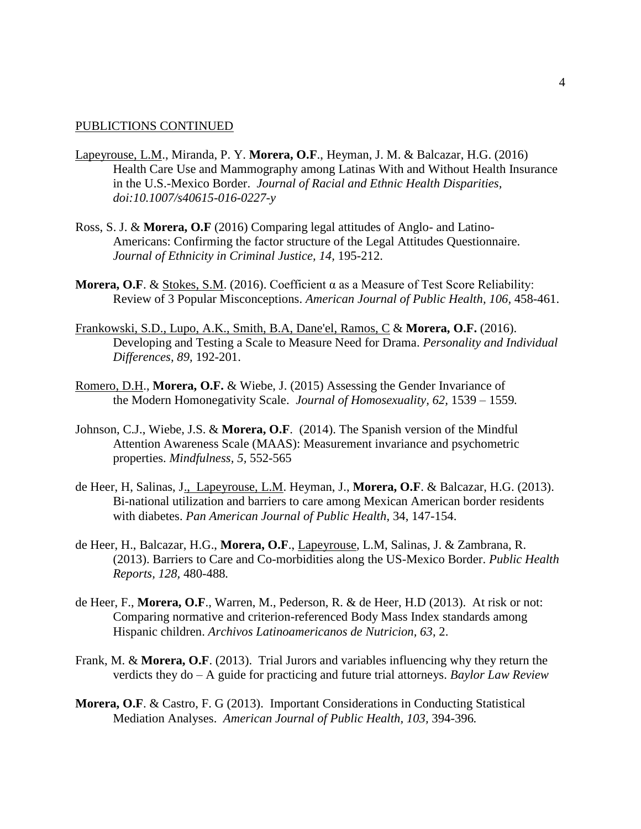- Lapeyrouse, L.M., Miranda, P. Y. **Morera, O.F**., Heyman, J. M. & Balcazar, H.G. (2016) Health Care Use and Mammography among Latinas With and Without Health Insurance in the U.S.-Mexico Border. *Journal of Racial and Ethnic Health Disparities, doi:10.1007/s40615-016-0227-y*
- Ross, S. J. & **Morera, O.F** (2016) Comparing legal attitudes of Anglo- and Latino-Americans: Confirming the factor structure of the Legal Attitudes Questionnaire. *Journal of Ethnicity in Criminal Justice, 14,* 195-212.
- **Morera, O.F**. & Stokes, S.M. (2016). Coefficient α as a Measure of Test Score Reliability: Review of 3 Popular Misconceptions. *American Journal of Public Health, 106,* 458-461.
- Frankowski, S.D., Lupo, A.K., Smith, B.A, Dane'el, Ramos, C & **Morera, O.F.** (2016). Developing and Testing a Scale to Measure Need for Drama. *Personality and Individual Differences, 89,* 192-201.
- Romero, D.H., **Morera, O.F.** & Wiebe, J. (2015) Assessing the Gender Invariance of the Modern Homonegativity Scale. *Journal of Homosexuality, 62,* 1539 – 1559*.*
- Johnson, C.J., Wiebe, J.S. & **Morera, O.F**. (2014). The Spanish version of the Mindful Attention Awareness Scale (MAAS): Measurement invariance and psychometric properties. *Mindfulness, 5,* 552-565
- de Heer, H, Salinas, J., Lapeyrouse, L.M. Heyman, J., **Morera, O.F**. & Balcazar, H.G. (2013). Bi-national utilization and barriers to care among Mexican American border residents with diabetes. *Pan American Journal of Public Health*, 34, 147-154.
- de Heer, H., Balcazar, H.G., **Morera, O.F**., Lapeyrouse, L.M, Salinas, J. & Zambrana, R. (2013). Barriers to Care and Co-morbidities along the US-Mexico Border. *Public Health Reports, 128,* 480-488*.*
- de Heer, F., **Morera, O.F**., Warren, M., Pederson, R. & de Heer, H.D (2013). At risk or not: Comparing normative and criterion-referenced Body Mass Index standards among Hispanic children. *Archivos Latinoamericanos de Nutricion, 63*, 2.
- Frank, M. & **Morera, O.F**. (2013). Trial Jurors and variables influencing why they return the verdicts they do – A guide for practicing and future trial attorneys. *Baylor Law Review*
- **Morera, O.F.** & Castro, F. G (2013). Important Considerations in Conducting Statistical Mediation Analyses. *American Journal of Public Health, 103,* 394-396*.*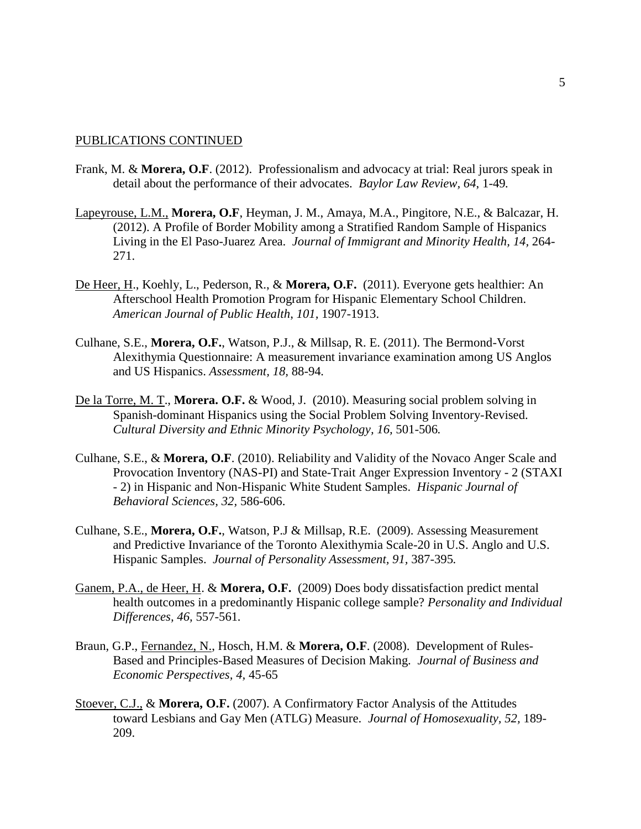- Frank, M. & **Morera, O.F**. (2012). Professionalism and advocacy at trial: Real jurors speak in detail about the performance of their advocates. *Baylor Law Review, 64*, 1-49*.*
- Lapeyrouse, L.M., **Morera, O.F**, Heyman, J. M., Amaya, M.A., Pingitore, N.E., & Balcazar, H. (2012). A Profile of Border Mobility among a Stratified Random Sample of Hispanics Living in the El Paso-Juarez Area. *Journal of Immigrant and Minority Health, 14,* 264- 271.
- De Heer, H., Koehly, L., Pederson, R., & **Morera, O.F.** (2011). Everyone gets healthier: An Afterschool Health Promotion Program for Hispanic Elementary School Children. *American Journal of Public Health*, *101,* 1907-1913.
- Culhane, S.E., **Morera, O.F.**, Watson, P.J., & Millsap, R. E. (2011). The Bermond-Vorst Alexithymia Questionnaire: A measurement invariance examination among US Anglos and US Hispanics. *Assessment, 18,* 88-94*.*
- De la Torre, M. T., **Morera. O.F.** & Wood, J. (2010). Measuring social problem solving in Spanish-dominant Hispanics using the Social Problem Solving Inventory-Revised. *Cultural Diversity and Ethnic Minority Psychology, 16,* 501-506*.*
- Culhane, S.E., & **Morera, O.F**. (2010). Reliability and Validity of the Novaco Anger Scale and Provocation Inventory (NAS-PI) and State-Trait Anger Expression Inventory - 2 (STAXI - 2) in Hispanic and Non-Hispanic White Student Samples. *Hispanic Journal of Behavioral Sciences, 32,* 586-606.
- Culhane, S.E., **Morera, O.F.**, Watson, P.J & Millsap, R.E. (2009). Assessing Measurement and Predictive Invariance of the Toronto Alexithymia Scale-20 in U.S. Anglo and U.S. Hispanic Samples. *Journal of Personality Assessment, 91,* 387-395*.*
- Ganem, P.A., de Heer, H. & **Morera, O.F.** (2009) Does body dissatisfaction predict mental health outcomes in a predominantly Hispanic college sample? *Personality and Individual Differences, 46,* 557-561*.*
- Braun, G.P., Fernandez, N., Hosch, H.M. & **Morera, O.F**. (2008). Development of Rules-Based and Principles-Based Measures of Decision Making. *Journal of Business and Economic Perspectives, 4,* 45-65
- Stoever, C.J., & **Morera, O.F.** (2007). A Confirmatory Factor Analysis of the Attitudes toward Lesbians and Gay Men (ATLG) Measure. *Journal of Homosexuality, 52,* 189- 209.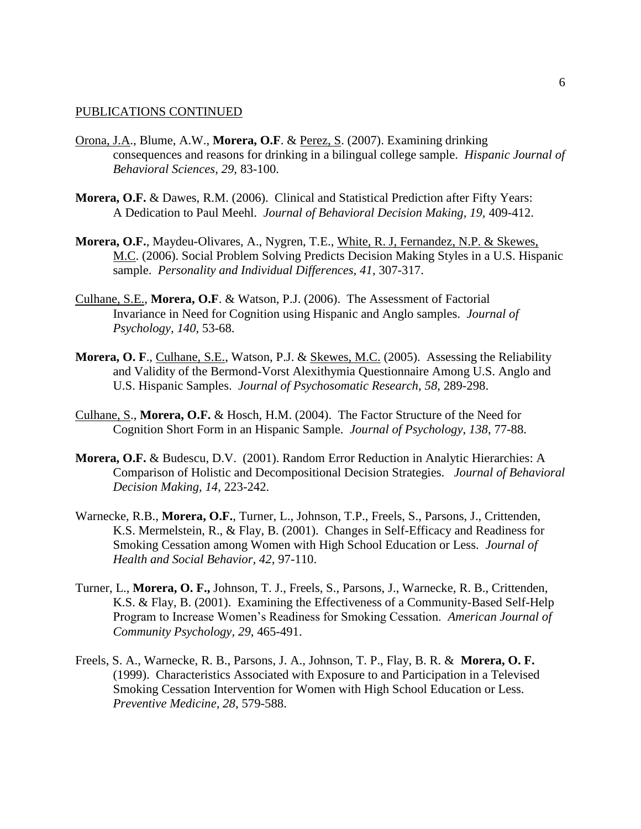- Orona, J.A., Blume, A.W., **Morera, O.F**. & Perez, S. (2007). Examining drinking consequences and reasons for drinking in a bilingual college sample. *Hispanic Journal of Behavioral Sciences, 29,* 83-100.
- **Morera, O.F.** & Dawes, R.M. (2006). Clinical and Statistical Prediction after Fifty Years: A Dedication to Paul Meehl. *Journal of Behavioral Decision Making, 19,* 409-412.
- **Morera, O.F.**, Maydeu-Olivares, A., Nygren, T.E., White, R. J, Fernandez, N.P. & Skewes, M.C. (2006). Social Problem Solving Predicts Decision Making Styles in a U.S. Hispanic sample. *Personality and Individual Differences, 41,* 307-317.
- Culhane, S.E., **Morera, O.F**. & Watson, P.J. (2006). The Assessment of Factorial Invariance in Need for Cognition using Hispanic and Anglo samples. *Journal of Psychology, 140,* 53-68.
- **Morera, O. F., Culhane, S.E., Watson, P.J. & Skewes, M.C. (2005).** Assessing the Reliability and Validity of the Bermond-Vorst Alexithymia Questionnaire Among U.S. Anglo and U.S. Hispanic Samples. *Journal of Psychosomatic Research*, *58*, 289-298.
- Culhane, S., **Morera, O.F.** & Hosch, H.M. (2004). The Factor Structure of the Need for Cognition Short Form in an Hispanic Sample. *Journal of Psychology*, *138*, 77-88.
- **Morera, O.F.** & Budescu, D.V. (2001). Random Error Reduction in Analytic Hierarchies: A Comparison of Holistic and Decompositional Decision Strategies. *Journal of Behavioral Decision Making, 14*, 223-242.
- Warnecke, R.B., **Morera, O.F.**, Turner, L., Johnson, T.P., Freels, S., Parsons, J., Crittenden, K.S. Mermelstein, R., & Flay, B. (2001). Changes in Self-Efficacy and Readiness for Smoking Cessation among Women with High School Education or Less. *Journal of Health and Social Behavior, 42*, 97-110.
- Turner, L., **Morera, O. F.,** Johnson, T. J., Freels, S., Parsons, J., Warnecke, R. B., Crittenden, K.S. & Flay, B. (2001). Examining the Effectiveness of a Community-Based Self-Help Program to Increase Women's Readiness for Smoking Cessation. *American Journal of Community Psychology, 29*, 465-491.
- Freels, S. A., Warnecke, R. B., Parsons, J. A., Johnson, T. P., Flay, B. R. & **Morera, O. F.** (1999). Characteristics Associated with Exposure to and Participation in a Televised Smoking Cessation Intervention for Women with High School Education or Less. *Preventive Medicine, 28*, 579-588.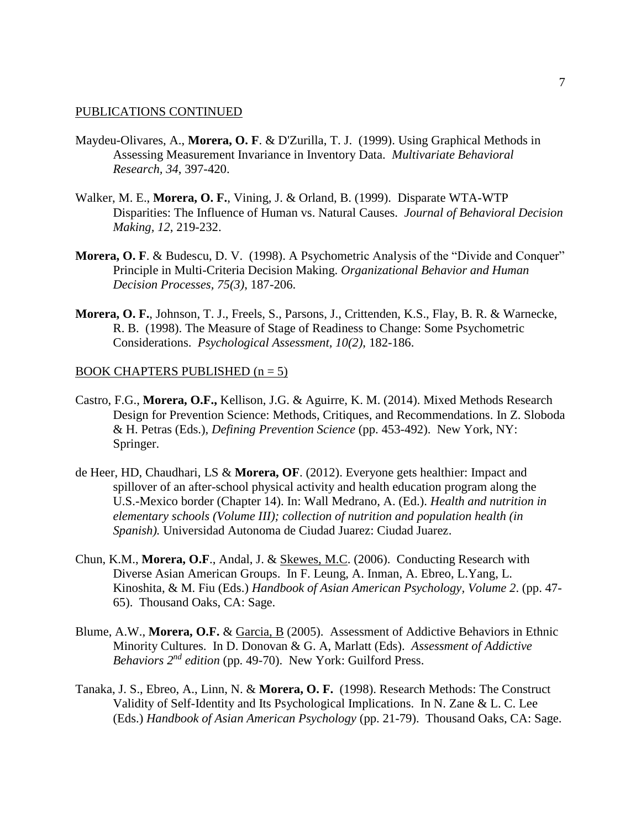- Maydeu-Olivares, A., **Morera, O. F**. & D'Zurilla, T. J. (1999). Using Graphical Methods in Assessing Measurement Invariance in Inventory Data. *Multivariate Behavioral Research, 34*, 397-420.
- Walker, M. E., **Morera, O. F.**, Vining, J. & Orland, B. (1999). Disparate WTA-WTP Disparities: The Influence of Human vs. Natural Causes. *Journal of Behavioral Decision Making, 12*, 219-232.
- **Morera, O. F.** & Budescu, D. V. (1998). A Psychometric Analysis of the "Divide and Conquer" Principle in Multi-Criteria Decision Making. *Organizational Behavior and Human Decision Processes, 75(3)*, 187-206.
- **Morera, O. F.**, Johnson, T. J., Freels, S., Parsons, J., Crittenden, K.S., Flay, B. R. & Warnecke, R. B. (1998). The Measure of Stage of Readiness to Change: Some Psychometric Considerations. *Psychological Assessment, 10(2)*, 182-186.

#### BOOK CHAPTERS PUBLISHED  $(n = 5)$

- Castro, F.G., **Morera, O.F.,** Kellison, J.G. & Aguirre, K. M. (2014). Mixed Methods Research Design for Prevention Science: Methods, Critiques, and Recommendations. In Z. Sloboda & H. Petras (Eds.), *Defining Prevention Science* (pp. 453-492). New York, NY: Springer.
- de Heer, HD, Chaudhari, LS & **Morera, OF**. (2012). Everyone gets healthier: Impact and spillover of an after-school physical activity and health education program along the U.S.-Mexico border (Chapter 14). In: Wall Medrano, A. (Ed.). *Health and nutrition in elementary schools (Volume III); collection of nutrition and population health (in Spanish).* Universidad Autonoma de Ciudad Juarez: Ciudad Juarez.
- Chun, K.M., **Morera, O.F**., Andal, J. & Skewes, M.C. (2006). Conducting Research with Diverse Asian American Groups. In F. Leung, A. Inman, A. Ebreo, L.Yang, L. Kinoshita, & M. Fiu (Eds.) *Handbook of Asian American Psychology, Volume 2*. (pp. 47- 65). Thousand Oaks, CA: Sage.
- Blume, A.W., **Morera, O.F.** & Garcia, B (2005). Assessment of Addictive Behaviors in Ethnic Minority Cultures. In D. Donovan & G. A, Marlatt (Eds). *Assessment of Addictive Behaviors 2nd edition* (pp. 49-70). New York: Guilford Press.
- Tanaka, J. S., Ebreo, A., Linn, N. & **Morera, O. F.** (1998). Research Methods: The Construct Validity of Self-Identity and Its Psychological Implications. In N. Zane & L. C. Lee (Eds.) *Handbook of Asian American Psychology* (pp. 21-79). Thousand Oaks, CA: Sage.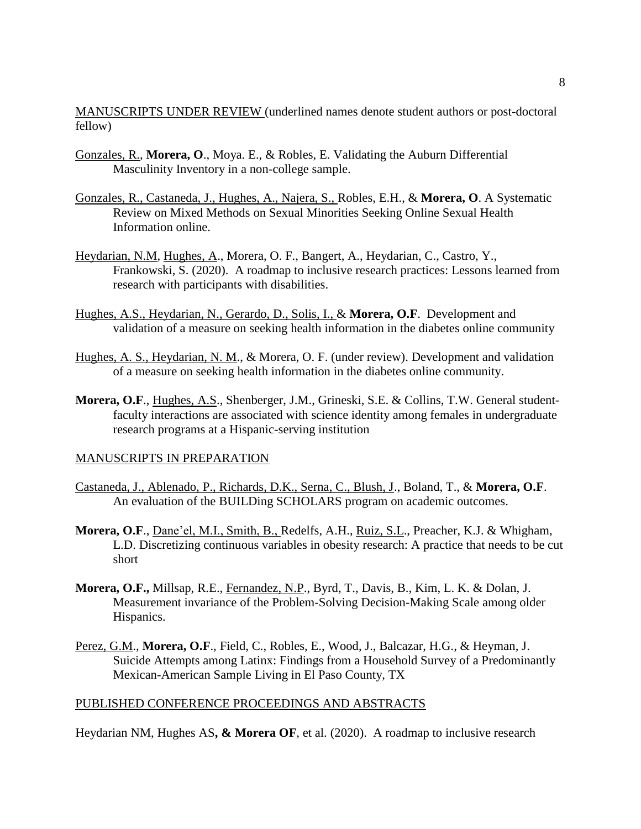MANUSCRIPTS UNDER REVIEW (underlined names denote student authors or post-doctoral fellow)

- Gonzales, R., **Morera, O**., Moya. E., & Robles, E. Validating the Auburn Differential Masculinity Inventory in a non-college sample.
- Gonzales, R., Castaneda, J., Hughes, A., Najera, S., Robles, E.H., & **Morera, O**. A Systematic Review on Mixed Methods on Sexual Minorities Seeking Online Sexual Health Information online.
- Heydarian, N.M, Hughes, A., Morera, O. F., Bangert, A., Heydarian, C., Castro, Y., Frankowski, S. (2020). A roadmap to inclusive research practices: Lessons learned from research with participants with disabilities.
- Hughes, A.S., Heydarian, N., Gerardo, D., Solis, I., & **Morera, O.F**. Development and validation of a measure on seeking health information in the diabetes online community
- Hughes, A. S., Heydarian, N. M., & Morera, O. F. (under review). Development and validation of a measure on seeking health information in the diabetes online community.
- **Morera, O.F**., Hughes, A.S., Shenberger, J.M., Grineski, S.E. & Collins, T.W. General studentfaculty interactions are associated with science identity among females in undergraduate research programs at a Hispanic-serving institution

### MANUSCRIPTS IN PREPARATION

- Castaneda, J., Ablenado, P., Richards, D.K., Serna, C., Blush, J., Boland, T., & **Morera, O.F**. An evaluation of the BUILDing SCHOLARS program on academic outcomes.
- **Morera, O.F**., Dane'el, M.I., Smith, B., Redelfs, A.H., Ruiz, S.L., Preacher, K.J. & Whigham, L.D. Discretizing continuous variables in obesity research: A practice that needs to be cut short
- **Morera, O.F.,** Millsap, R.E., Fernandez, N.P., Byrd, T., Davis, B., Kim, L. K. & Dolan, J. Measurement invariance of the Problem-Solving Decision-Making Scale among older Hispanics.
- Perez, G.M., **Morera, O.F**., Field, C., Robles, E., Wood, J., Balcazar, H.G., & Heyman, J. Suicide Attempts among Latinx: Findings from a Household Survey of a Predominantly Mexican-American Sample Living in El Paso County, TX

## PUBLISHED CONFERENCE PROCEEDINGS AND ABSTRACTS

Heydarian NM, Hughes AS**, & Morera OF**, et al. (2020). A roadmap to inclusive research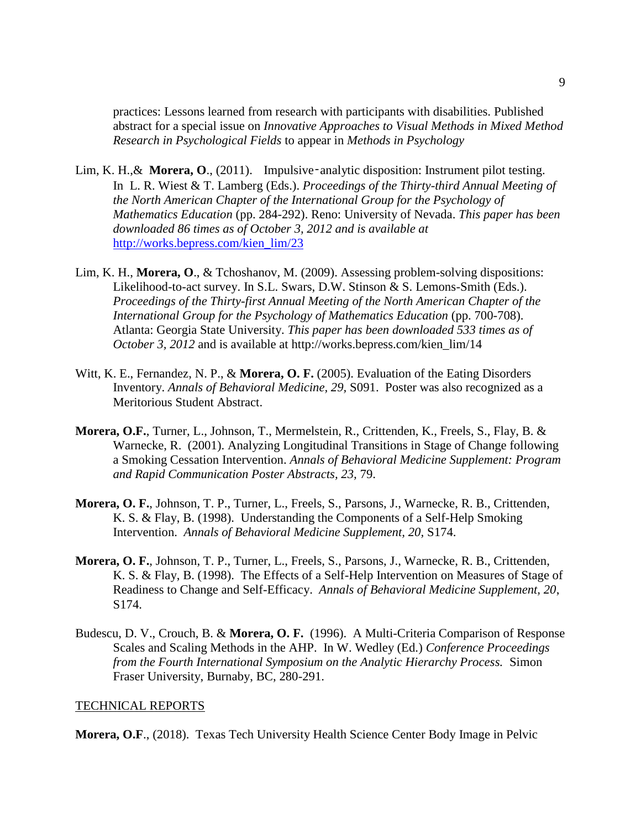practices: Lessons learned from research with participants with disabilities. Published abstract for a special issue on *Innovative Approaches to Visual Methods in Mixed Method Research in Psychological Fields* to appear in *Methods in Psychology*

- Lim, K. H., & Morera, O., (2011). Impulsive-analytic disposition: Instrument pilot testing. In L. R. Wiest & T. Lamberg (Eds.). *Proceedings of the Thirty-third Annual Meeting of the North American Chapter of the International Group for the Psychology of Mathematics Education* (pp. 284-292). Reno: University of Nevada. *This paper has been downloaded 86 times as of October 3, 2012 and is available at* [http://works.bepress.com/kien\\_lim/23](http://works.bepress.com/kien_lim/23)
- Lim, K. H., **Morera, O**., & Tchoshanov, M. (2009). Assessing problem-solving dispositions: Likelihood-to-act survey. In S.L. Swars, D.W. Stinson & S. Lemons-Smith (Eds.). *Proceedings of the Thirty-first Annual Meeting of the North American Chapter of the International Group for the Psychology of Mathematics Education* (pp. 700-708). Atlanta: Georgia State University. *This paper has been downloaded 533 times as of October 3, 2012* and is available at http://works.bepress.com/kien\_lim/14
- Witt, K. E., Fernandez, N. P., & **Morera, O. F.** (2005). Evaluation of the Eating Disorders Inventory. *Annals of Behavioral Medicine, 29,* S091. Poster was also recognized as a Meritorious Student Abstract.
- **Morera, O.F.**, Turner, L., Johnson, T., Mermelstein, R., Crittenden, K., Freels, S., Flay, B. & Warnecke, R. (2001). Analyzing Longitudinal Transitions in Stage of Change following a Smoking Cessation Intervention. *Annals of Behavioral Medicine Supplement: Program and Rapid Communication Poster Abstracts, 23,* 79.
- **Morera, O. F.**, Johnson, T. P., Turner, L., Freels, S., Parsons, J., Warnecke, R. B., Crittenden, K. S. & Flay, B. (1998). Understanding the Components of a Self-Help Smoking Intervention. *Annals of Behavioral Medicine Supplement, 20,* S174.
- **Morera, O. F.**, Johnson, T. P., Turner, L., Freels, S., Parsons, J., Warnecke, R. B., Crittenden, K. S. & Flay, B. (1998). The Effects of a Self-Help Intervention on Measures of Stage of Readiness to Change and Self-Efficacy. *Annals of Behavioral Medicine Supplement, 20*, S174.
- Budescu, D. V., Crouch, B. & **Morera, O. F.** (1996). A Multi-Criteria Comparison of Response Scales and Scaling Methods in the AHP. In W. Wedley (Ed.) *Conference Proceedings from the Fourth International Symposium on the Analytic Hierarchy Process.* Simon Fraser University, Burnaby, BC, 280-291.

## TECHNICAL REPORTS

**Morera, O.F**., (2018). Texas Tech University Health Science Center Body Image in Pelvic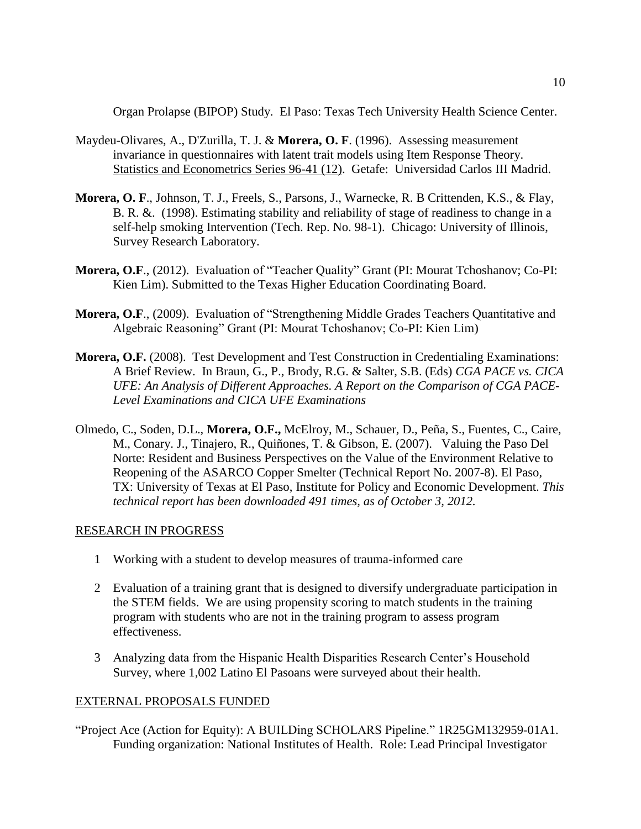Organ Prolapse (BIPOP) Study. El Paso: Texas Tech University Health Science Center.

- Maydeu-Olivares, A., D'Zurilla, T. J. & **Morera, O. F**. (1996). Assessing measurement invariance in questionnaires with latent trait models using Item Response Theory. Statistics and Econometrics Series 96-41 (12). Getafe: Universidad Carlos III Madrid.
- **Morera, O. F**., Johnson, T. J., Freels, S., Parsons, J., Warnecke, R. B Crittenden, K.S., & Flay, B. R. &. (1998). Estimating stability and reliability of stage of readiness to change in a self-help smoking Intervention (Tech. Rep. No. 98-1). Chicago: University of Illinois, Survey Research Laboratory.
- **Morera, O.F**., (2012). Evaluation of "Teacher Quality" Grant (PI: Mourat Tchoshanov; Co-PI: Kien Lim). Submitted to the Texas Higher Education Coordinating Board.
- **Morera, O.F**., (2009). Evaluation of "Strengthening Middle Grades Teachers Quantitative and Algebraic Reasoning" Grant (PI: Mourat Tchoshanov; Co-PI: Kien Lim)
- **Morera, O.F.** (2008). Test Development and Test Construction in Credentialing Examinations: A Brief Review. In Braun, G., P., Brody, R.G. & Salter, S.B. (Eds) *CGA PACE vs. CICA UFE: An Analysis of Different Approaches. A Report on the Comparison of CGA PACE-Level Examinations and CICA UFE Examinations*
- Olmedo, C., Soden, D.L., **Morera, O.F.,** McElroy, M., Schauer, D., Peña, S., Fuentes, C., Caire, M., Conary. J., Tinajero, R., Quiñones, T. & Gibson, E. (2007). Valuing the Paso Del Norte: Resident and Business Perspectives on the Value of the Environment Relative to Reopening of the ASARCO Copper Smelter (Technical Report No. 2007-8). El Paso, TX: University of Texas at El Paso, Institute for Policy and Economic Development. *This technical report has been downloaded 491 times, as of October 3, 2012.*

### RESEARCH IN PROGRESS

- 1 Working with a student to develop measures of trauma-informed care
- 2 Evaluation of a training grant that is designed to diversify undergraduate participation in the STEM fields. We are using propensity scoring to match students in the training program with students who are not in the training program to assess program effectiveness.
- 3 Analyzing data from the Hispanic Health Disparities Research Center's Household Survey, where 1,002 Latino El Pasoans were surveyed about their health.

### EXTERNAL PROPOSALS FUNDED

"Project Ace (Action for Equity): A BUILDing SCHOLARS Pipeline." 1R25GM132959-01A1. Funding organization: National Institutes of Health. Role: Lead Principal Investigator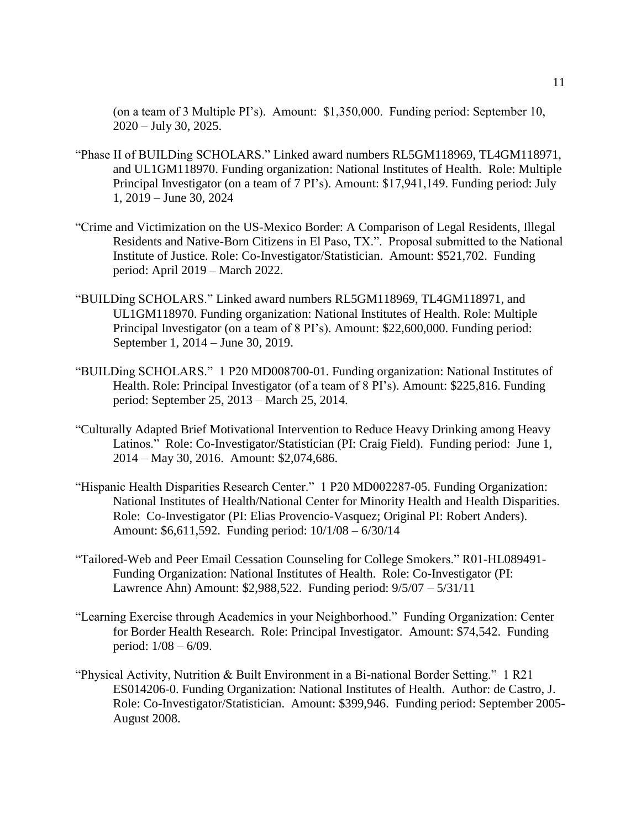(on a team of 3 Multiple PI's). Amount: \$1,350,000. Funding period: September 10, 2020 – July 30, 2025.

- "Phase II of BUILDing SCHOLARS." Linked award numbers RL5GM118969, TL4GM118971, and UL1GM118970. Funding organization: National Institutes of Health. Role: Multiple Principal Investigator (on a team of 7 PI's). Amount: \$17,941,149. Funding period: July 1, 2019 – June 30, 2024
- "Crime and Victimization on the US-Mexico Border: A Comparison of Legal Residents, Illegal Residents and Native-Born Citizens in El Paso, TX.". Proposal submitted to the National Institute of Justice. Role: Co-Investigator/Statistician. Amount: \$521,702. Funding period: April 2019 – March 2022.
- "BUILDing SCHOLARS." Linked award numbers RL5GM118969, TL4GM118971, and UL1GM118970. Funding organization: National Institutes of Health. Role: Multiple Principal Investigator (on a team of 8 PI's). Amount: \$22,600,000. Funding period: September 1, 2014 – June 30, 2019.
- "BUILDing SCHOLARS." 1 P20 MD008700-01. Funding organization: National Institutes of Health. Role: Principal Investigator (of a team of 8 PI's). Amount: \$225,816. Funding period: September 25, 2013 – March 25, 2014.
- "Culturally Adapted Brief Motivational Intervention to Reduce Heavy Drinking among Heavy Latinos." Role: Co-Investigator/Statistician (PI: Craig Field). Funding period: June 1, 2014 – May 30, 2016. Amount: \$2,074,686.
- "Hispanic Health Disparities Research Center." 1 P20 MD002287-05. Funding Organization: National Institutes of Health/National Center for Minority Health and Health Disparities. Role: Co-Investigator (PI: Elias Provencio-Vasquez; Original PI: Robert Anders). Amount: \$6,611,592. Funding period: 10/1/08 – 6/30/14
- "Tailored-Web and Peer Email Cessation Counseling for College Smokers." R01-HL089491- Funding Organization: National Institutes of Health. Role: Co-Investigator (PI: Lawrence Ahn) Amount: \$2,988,522. Funding period: 9/5/07 – 5/31/11
- "Learning Exercise through Academics in your Neighborhood." Funding Organization: Center for Border Health Research. Role: Principal Investigator. Amount: \$74,542. Funding period: 1/08 – 6/09.
- "Physical Activity, Nutrition & Built Environment in a Bi-national Border Setting." 1 R21 ES014206-0. Funding Organization: National Institutes of Health. Author: de Castro, J. Role: Co-Investigator/Statistician. Amount: \$399,946. Funding period: September 2005- August 2008.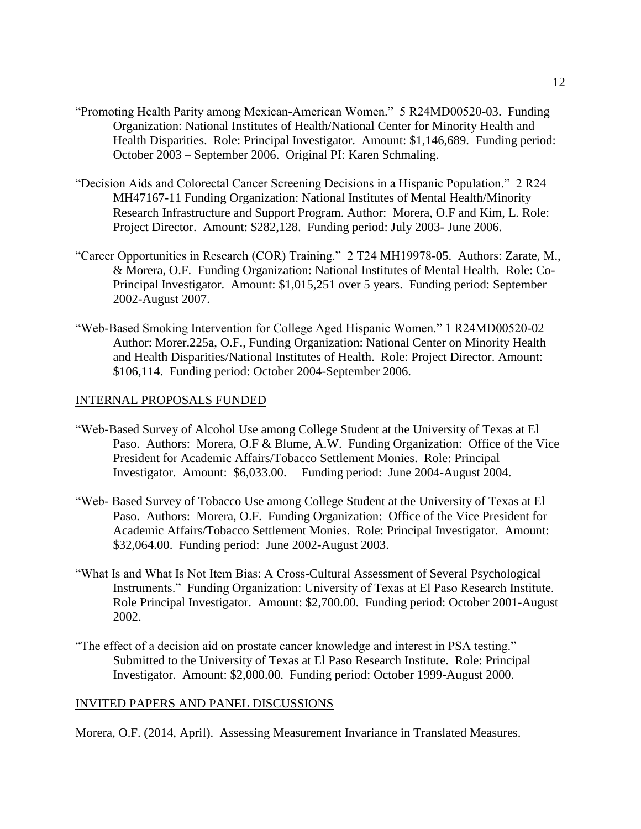- "Promoting Health Parity among Mexican-American Women." 5 R24MD00520-03. Funding Organization: National Institutes of Health/National Center for Minority Health and Health Disparities. Role: Principal Investigator. Amount: \$1,146,689. Funding period: October 2003 – September 2006. Original PI: Karen Schmaling.
- "Decision Aids and Colorectal Cancer Screening Decisions in a Hispanic Population." 2 R24 MH47167-11 Funding Organization: National Institutes of Mental Health/Minority Research Infrastructure and Support Program. Author: Morera, O.F and Kim, L. Role: Project Director. Amount: \$282,128. Funding period: July 2003- June 2006.
- "Career Opportunities in Research (COR) Training." 2 T24 MH19978-05. Authors: Zarate, M., & Morera, O.F. Funding Organization: National Institutes of Mental Health. Role: Co-Principal Investigator. Amount: \$1,015,251 over 5 years. Funding period: September 2002-August 2007.
- "Web-Based Smoking Intervention for College Aged Hispanic Women." 1 R24MD00520-02 Author: Morer.225a, O.F., Funding Organization: National Center on Minority Health and Health Disparities/National Institutes of Health. Role: Project Director. Amount: \$106,114. Funding period: October 2004-September 2006.

### INTERNAL PROPOSALS FUNDED

- "Web-Based Survey of Alcohol Use among College Student at the University of Texas at El Paso. Authors: Morera, O.F & Blume, A.W. Funding Organization: Office of the Vice President for Academic Affairs/Tobacco Settlement Monies. Role: Principal Investigator. Amount: \$6,033.00. Funding period: June 2004-August 2004.
- "Web- Based Survey of Tobacco Use among College Student at the University of Texas at El Paso. Authors: Morera, O.F. Funding Organization: Office of the Vice President for Academic Affairs/Tobacco Settlement Monies. Role: Principal Investigator. Amount: \$32,064.00. Funding period: June 2002-August 2003.
- "What Is and What Is Not Item Bias: A Cross-Cultural Assessment of Several Psychological Instruments." Funding Organization: University of Texas at El Paso Research Institute. Role Principal Investigator. Amount: \$2,700.00. Funding period: October 2001-August 2002.
- "The effect of a decision aid on prostate cancer knowledge and interest in PSA testing." Submitted to the University of Texas at El Paso Research Institute. Role: Principal Investigator. Amount: \$2,000.00. Funding period: October 1999-August 2000.

## INVITED PAPERS AND PANEL DISCUSSIONS

Morera, O.F. (2014, April). Assessing Measurement Invariance in Translated Measures.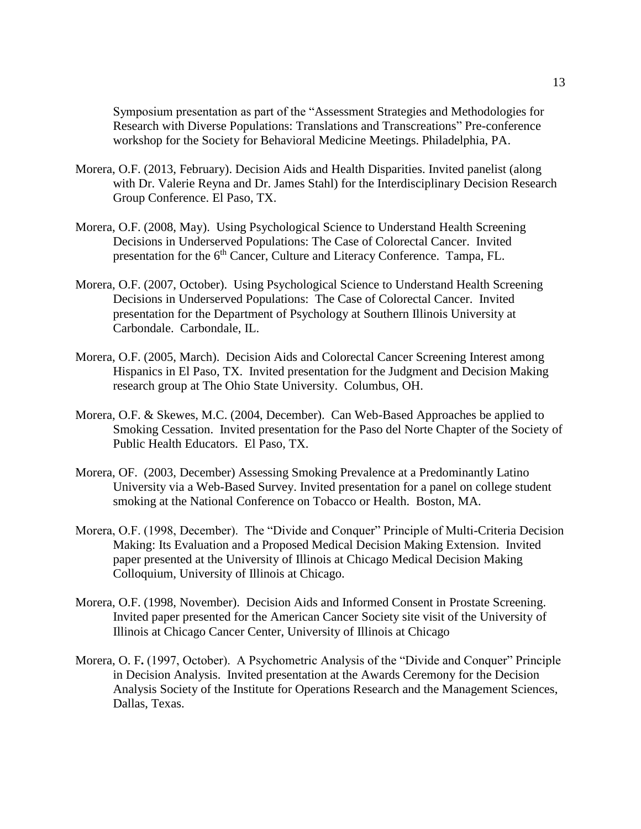Symposium presentation as part of the "Assessment Strategies and Methodologies for Research with Diverse Populations: Translations and Transcreations" Pre-conference workshop for the Society for Behavioral Medicine Meetings. Philadelphia, PA.

- Morera, O.F. (2013, February). Decision Aids and Health Disparities. Invited panelist (along with Dr. Valerie Reyna and Dr. James Stahl) for the Interdisciplinary Decision Research Group Conference. El Paso, TX.
- Morera, O.F. (2008, May). Using Psychological Science to Understand Health Screening Decisions in Underserved Populations: The Case of Colorectal Cancer. Invited presentation for the 6<sup>th</sup> Cancer, Culture and Literacy Conference. Tampa, FL.
- Morera, O.F. (2007, October). Using Psychological Science to Understand Health Screening Decisions in Underserved Populations: The Case of Colorectal Cancer. Invited presentation for the Department of Psychology at Southern Illinois University at Carbondale. Carbondale, IL.
- Morera, O.F. (2005, March). Decision Aids and Colorectal Cancer Screening Interest among Hispanics in El Paso, TX. Invited presentation for the Judgment and Decision Making research group at The Ohio State University. Columbus, OH.
- Morera, O.F. & Skewes, M.C. (2004, December). Can Web-Based Approaches be applied to Smoking Cessation. Invited presentation for the Paso del Norte Chapter of the Society of Public Health Educators. El Paso, TX.
- Morera, OF. (2003, December) Assessing Smoking Prevalence at a Predominantly Latino University via a Web-Based Survey. Invited presentation for a panel on college student smoking at the National Conference on Tobacco or Health. Boston, MA.
- Morera, O.F. (1998, December). The "Divide and Conquer" Principle of Multi-Criteria Decision Making: Its Evaluation and a Proposed Medical Decision Making Extension. Invited paper presented at the University of Illinois at Chicago Medical Decision Making Colloquium, University of Illinois at Chicago.
- Morera, O.F. (1998, November). Decision Aids and Informed Consent in Prostate Screening. Invited paper presented for the American Cancer Society site visit of the University of Illinois at Chicago Cancer Center, University of Illinois at Chicago
- Morera, O. F**.** (1997, October). A Psychometric Analysis of the "Divide and Conquer" Principle in Decision Analysis. Invited presentation at the Awards Ceremony for the Decision Analysis Society of the Institute for Operations Research and the Management Sciences, Dallas, Texas.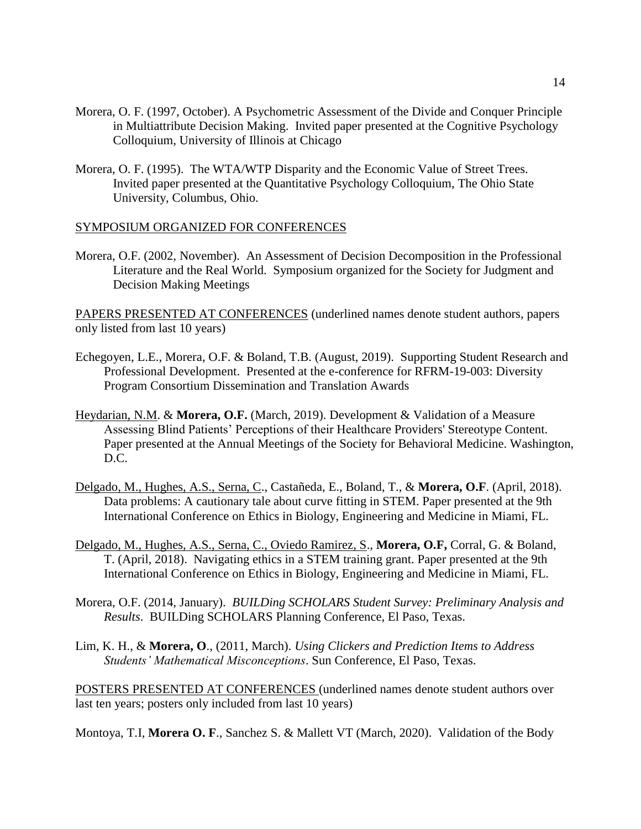- Morera, O. F. (1997, October). A Psychometric Assessment of the Divide and Conquer Principle in Multiattribute Decision Making. Invited paper presented at the Cognitive Psychology Colloquium, University of Illinois at Chicago
- Morera, O. F. (1995). The WTA/WTP Disparity and the Economic Value of Street Trees. Invited paper presented at the Quantitative Psychology Colloquium, The Ohio State University, Columbus, Ohio.

#### SYMPOSIUM ORGANIZED FOR CONFERENCES

Morera, O.F. (2002, November). An Assessment of Decision Decomposition in the Professional Literature and the Real World. Symposium organized for the Society for Judgment and Decision Making Meetings

PAPERS PRESENTED AT CONFERENCES (underlined names denote student authors, papers only listed from last 10 years)

- Echegoyen, L.E., Morera, O.F. & Boland, T.B. (August, 2019). Supporting Student Research and Professional Development. Presented at the e-conference for RFRM-19-003: Diversity Program Consortium Dissemination and Translation Awards
- Heydarian, N.M. & **Morera, O.F.** (March, 2019). Development & Validation of a Measure Assessing Blind Patients' Perceptions of their Healthcare Providers' Stereotype Content. Paper presented at the Annual Meetings of the Society for Behavioral Medicine. Washington, D.C.
- Delgado, M., Hughes, A.S., Serna, C., Castañeda, E., Boland, T., & **Morera, O.F**. (April, 2018). Data problems: A cautionary tale about curve fitting in STEM. Paper presented at the 9th International Conference on Ethics in Biology, Engineering and Medicine in Miami, FL.
- Delgado, M., Hughes, A.S., Serna, C., Oviedo Ramirez, S., **Morera, O.F,** Corral, G. & Boland, T. (April, 2018). Navigating ethics in a STEM training grant. Paper presented at the 9th International Conference on Ethics in Biology, Engineering and Medicine in Miami, FL.
- Morera, O.F. (2014, January). *BUILDing SCHOLARS Student Survey: Preliminary Analysis and Results*. BUILDing SCHOLARS Planning Conference, El Paso, Texas.
- Lim, K. H., & **Morera, O**., (2011, March). *Using Clickers and Prediction Items to Address Students' Mathematical Misconceptions*. Sun Conference, El Paso, Texas.

POSTERS PRESENTED AT CONFERENCES (underlined names denote student authors over last ten years; posters only included from last 10 years)

Montoya, T.I, **Morera O. F**., Sanchez S. & Mallett VT (March, 2020). Validation of the Body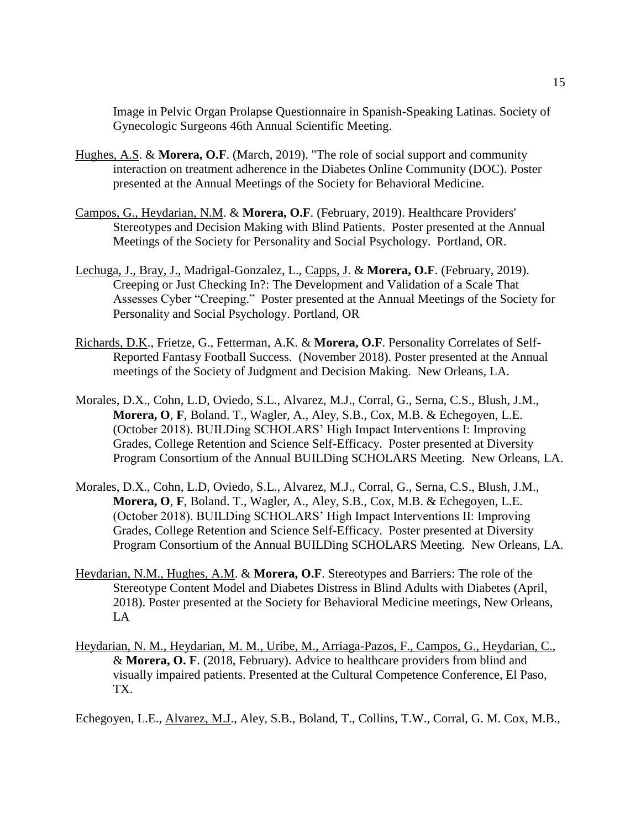Image in Pelvic Organ Prolapse Questionnaire in Spanish-Speaking Latinas. Society of Gynecologic Surgeons 46th Annual Scientific Meeting.

- Hughes, A.S. & **Morera, O.F**. (March, 2019). "The role of social support and community interaction on treatment adherence in the Diabetes Online Community (DOC). Poster presented at the Annual Meetings of the Society for Behavioral Medicine.
- Campos, G., Heydarian, N.M. & **Morera, O.F**. (February, 2019). Healthcare Providers' Stereotypes and Decision Making with Blind Patients. Poster presented at the Annual Meetings of the Society for Personality and Social Psychology. Portland, OR.
- Lechuga, J., Bray, J., Madrigal-Gonzalez, L., Capps, J. & **Morera, O.F**. (February, 2019). Creeping or Just Checking In?: The Development and Validation of a Scale That Assesses Cyber "Creeping." Poster presented at the Annual Meetings of the Society for Personality and Social Psychology. Portland, OR
- Richards, D.K., Frietze, G., Fetterman, A.K. & **Morera, O.F**. Personality Correlates of Self-Reported Fantasy Football Success. (November 2018). Poster presented at the Annual meetings of the Society of Judgment and Decision Making. New Orleans, LA.
- Morales, D.X., Cohn, L.D, Oviedo, S.L., Alvarez, M.J., Corral, G., Serna, C.S., Blush, J.M., **Morera, O**, **F**, Boland. T., Wagler, A., Aley, S.B., Cox, M.B. & Echegoyen, L.E. (October 2018). BUILDing SCHOLARS' High Impact Interventions I: Improving Grades, College Retention and Science Self-Efficacy. Poster presented at Diversity Program Consortium of the Annual BUILDing SCHOLARS Meeting. New Orleans, LA.
- Morales, D.X., Cohn, L.D, Oviedo, S.L., Alvarez, M.J., Corral, G., Serna, C.S., Blush, J.M., **Morera, O**, **F**, Boland. T., Wagler, A., Aley, S.B., Cox, M.B. & Echegoyen, L.E. (October 2018). BUILDing SCHOLARS' High Impact Interventions II: Improving Grades, College Retention and Science Self-Efficacy. Poster presented at Diversity Program Consortium of the Annual BUILDing SCHOLARS Meeting. New Orleans, LA.
- Heydarian, N.M., Hughes, A.M. & **Morera, O.F**. Stereotypes and Barriers: The role of the Stereotype Content Model and Diabetes Distress in Blind Adults with Diabetes (April, 2018). Poster presented at the Society for Behavioral Medicine meetings, New Orleans, LA
- Heydarian, N. M., Heydarian, M. M., Uribe, M., Arriaga-Pazos, F., Campos, G., Heydarian, C., & **Morera, O. F**. (2018, February). Advice to healthcare providers from blind and visually impaired patients. Presented at the Cultural Competence Conference, El Paso, TX.

Echegoyen, L.E., Alvarez, M.J., Aley, S.B., Boland, T., Collins, T.W., Corral, G. M. Cox, M.B.,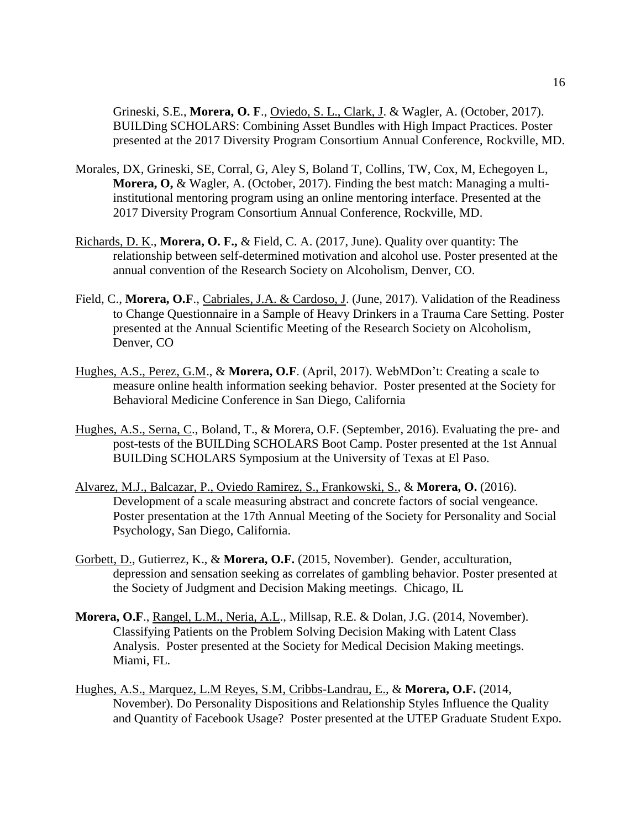Grineski, S.E., **Morera, O. F**., Oviedo, S. L., Clark, J. & Wagler, A. (October, 2017). BUILDing SCHOLARS: Combining Asset Bundles with High Impact Practices. Poster presented at the 2017 Diversity Program Consortium Annual Conference, Rockville, MD.

- Morales, DX, Grineski, SE, Corral, G, Aley S, Boland T, Collins, TW, Cox, M, Echegoyen L, **Morera, O,** & Wagler, A. (October, 2017). Finding the best match: Managing a multiinstitutional mentoring program using an online mentoring interface. Presented at the 2017 Diversity Program Consortium Annual Conference, Rockville, MD.
- Richards, D. K., **Morera, O. F.,** & Field, C. A. (2017, June). Quality over quantity: The relationship between self-determined motivation and alcohol use. Poster presented at the annual convention of the Research Society on Alcoholism, Denver, CO.
- Field, C., **Morera, O.F**., Cabriales, J.A. & Cardoso, J. (June, 2017). Validation of the Readiness to Change Questionnaire in a Sample of Heavy Drinkers in a Trauma Care Setting. Poster presented at the Annual Scientific Meeting of the Research Society on Alcoholism, Denver, CO
- Hughes, A.S., Perez, G.M., & **Morera, O.F**. (April, 2017). WebMDon't: Creating a scale to measure online health information seeking behavior. Poster presented at the Society for Behavioral Medicine Conference in San Diego, California
- Hughes, A.S., Serna, C., Boland, T., & Morera, O.F. (September, 2016). Evaluating the pre- and post-tests of the BUILDing SCHOLARS Boot Camp. Poster presented at the 1st Annual BUILDing SCHOLARS Symposium at the University of Texas at El Paso.
- Alvarez, M.J., Balcazar, P., Oviedo Ramirez, S., Frankowski, S., & **Morera, O.** (2016). Development of a scale measuring abstract and concrete factors of social vengeance. Poster presentation at the 17th Annual Meeting of the Society for Personality and Social Psychology, San Diego, California.
- Gorbett, D., Gutierrez, K., & **Morera, O.F.** (2015, November). Gender, acculturation, depression and sensation seeking as correlates of gambling behavior. Poster presented at the Society of Judgment and Decision Making meetings. Chicago, IL
- **Morera, O.F**., Rangel, L.M., Neria, A.L., Millsap, R.E. & Dolan, J.G. (2014, November). Classifying Patients on the Problem Solving Decision Making with Latent Class Analysis. Poster presented at the Society for Medical Decision Making meetings. Miami, FL.
- Hughes, A.S., Marquez, L.M Reyes, S.M, Cribbs-Landrau, E., & **Morera, O.F.** (2014, November). Do Personality Dispositions and Relationship Styles Influence the Quality and Quantity of Facebook Usage? Poster presented at the UTEP Graduate Student Expo.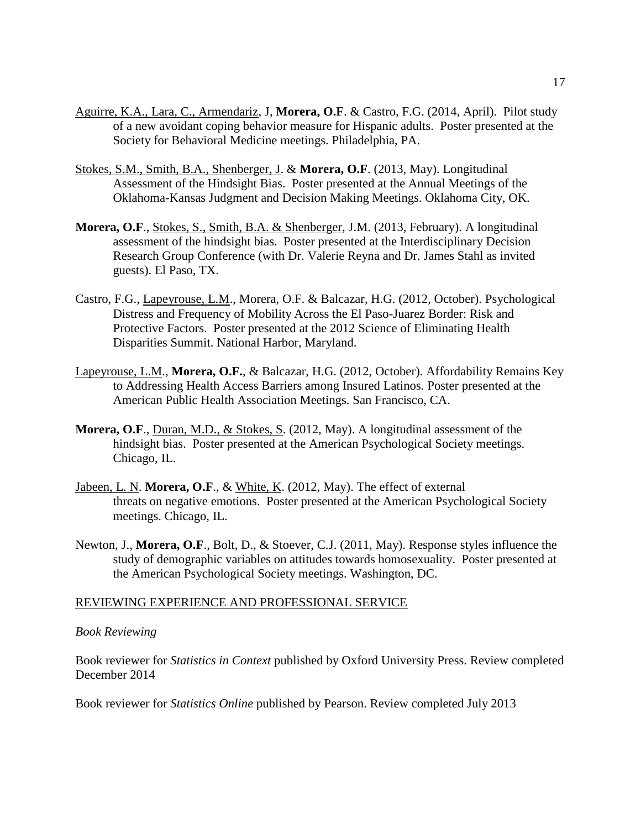- Aguirre, K.A., Lara, C., Armendariz, J, **Morera, O.F**. & Castro, F.G. (2014, April). Pilot study of a new avoidant coping behavior measure for Hispanic adults. Poster presented at the Society for Behavioral Medicine meetings. Philadelphia, PA.
- Stokes, S.M., Smith, B.A., Shenberger, J. & **Morera, O.F**. (2013, May). Longitudinal Assessment of the Hindsight Bias. Poster presented at the Annual Meetings of the Oklahoma-Kansas Judgment and Decision Making Meetings. Oklahoma City, OK.
- **Morera, O.F**., Stokes, S., Smith, B.A. & Shenberger, J.M. (2013, February). A longitudinal assessment of the hindsight bias. Poster presented at the Interdisciplinary Decision Research Group Conference (with Dr. Valerie Reyna and Dr. James Stahl as invited guests). El Paso, TX.
- Castro, F.G., Lapeyrouse, L.M., Morera, O.F. & Balcazar, H.G. (2012, October). Psychological Distress and Frequency of Mobility Across the El Paso-Juarez Border: Risk and Protective Factors. Poster presented at the 2012 Science of Eliminating Health Disparities Summit. National Harbor, Maryland.
- Lapeyrouse, L.M., **Morera, O.F.**, & Balcazar, H.G. (2012, October). Affordability Remains Key to Addressing Health Access Barriers among Insured Latinos. Poster presented at the American Public Health Association Meetings. San Francisco, CA.
- **Morera, O.F., Duran, M.D., & Stokes, S. (2012, May). A longitudinal assessment of the** hindsight bias. Poster presented at the American Psychological Society meetings. Chicago, IL.
- Jabeen, L. N. **Morera, O.F**., & White, K. (2012, May). The effect of external threats on negative emotions. Poster presented at the American Psychological Society meetings. Chicago, IL.
- Newton, J., **Morera, O.F**., Bolt, D., & Stoever, C.J. (2011, May). Response styles influence the study of demographic variables on attitudes towards homosexuality. Poster presented at the American Psychological Society meetings. Washington, DC.

### REVIEWING EXPERIENCE AND PROFESSIONAL SERVICE

#### *Book Reviewing*

Book reviewer for *Statistics in Context* published by Oxford University Press. Review completed December 2014

Book reviewer for *Statistics Online* published by Pearson. Review completed July 2013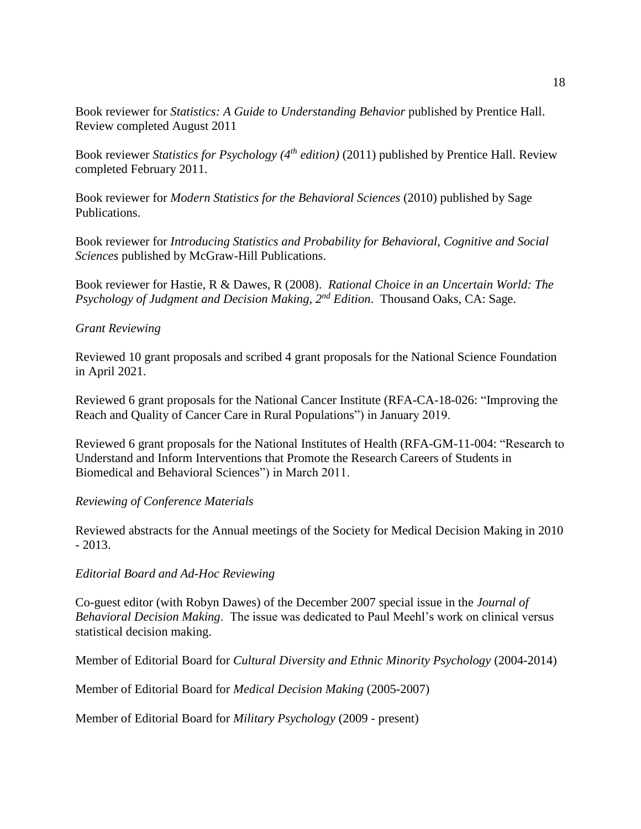Book reviewer for *Statistics: A Guide to Understanding Behavior* published by Prentice Hall. Review completed August 2011

Book reviewer *Statistics for Psychology (4th edition)* (2011) published by Prentice Hall. Review completed February 2011.

Book reviewer for *Modern Statistics for the Behavioral Sciences* (2010) published by Sage Publications.

Book reviewer for *Introducing Statistics and Probability for Behavioral, Cognitive and Social Sciences* published by McGraw-Hill Publications.

Book reviewer for Hastie, R & Dawes, R (2008). *Rational Choice in an Uncertain World: The Psychology of Judgment and Decision Making, 2nd Edition*. Thousand Oaks, CA: Sage.

## *Grant Reviewing*

Reviewed 10 grant proposals and scribed 4 grant proposals for the National Science Foundation in April 2021.

Reviewed 6 grant proposals for the National Cancer Institute (RFA-CA-18-026: "Improving the Reach and Quality of Cancer Care in Rural Populations") in January 2019.

Reviewed 6 grant proposals for the National Institutes of Health (RFA-GM-11-004: "Research to Understand and Inform Interventions that Promote the Research Careers of Students in Biomedical and Behavioral Sciences") in March 2011.

### *Reviewing of Conference Materials*

Reviewed abstracts for the Annual meetings of the Society for Medical Decision Making in 2010  $-2013.$ 

### *Editorial Board and Ad-Hoc Reviewing*

Co-guest editor (with Robyn Dawes) of the December 2007 special issue in the *Journal of Behavioral Decision Making*. The issue was dedicated to Paul Meehl's work on clinical versus statistical decision making.

Member of Editorial Board for *Cultural Diversity and Ethnic Minority Psychology* (2004-2014)

Member of Editorial Board for *Medical Decision Making* (2005-2007)

Member of Editorial Board for *Military Psychology* (2009 - present)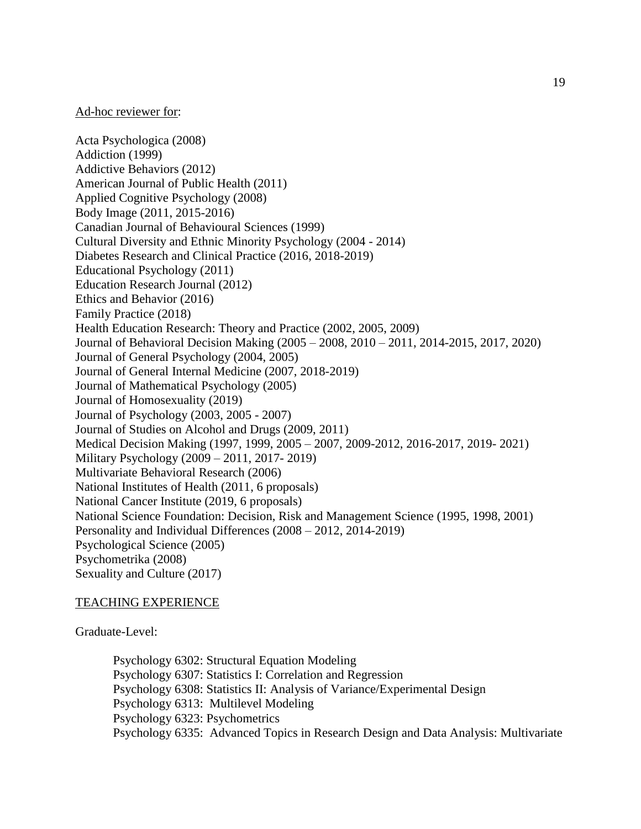### Ad-hoc reviewer for:

Acta Psychologica (2008) Addiction (1999) Addictive Behaviors (2012) American Journal of Public Health (2011) Applied Cognitive Psychology (2008) Body Image (2011, 2015-2016) Canadian Journal of Behavioural Sciences (1999) Cultural Diversity and Ethnic Minority Psychology (2004 - 2014) Diabetes Research and Clinical Practice (2016, 2018-2019) Educational Psychology (2011) Education Research Journal (2012) Ethics and Behavior (2016) Family Practice (2018) Health Education Research: Theory and Practice (2002, 2005, 2009) Journal of Behavioral Decision Making (2005 – 2008, 2010 – 2011, 2014-2015, 2017, 2020) Journal of General Psychology (2004, 2005) Journal of General Internal Medicine (2007, 2018-2019) Journal of Mathematical Psychology (2005) Journal of Homosexuality (2019) Journal of Psychology (2003, 2005 - 2007) Journal of Studies on Alcohol and Drugs (2009, 2011) Medical Decision Making (1997, 1999, 2005 – 2007, 2009-2012, 2016-2017, 2019- 2021) Military Psychology (2009 – 2011, 2017- 2019) Multivariate Behavioral Research (2006) National Institutes of Health (2011, 6 proposals) National Cancer Institute (2019, 6 proposals) National Science Foundation: Decision, Risk and Management Science (1995, 1998, 2001) Personality and Individual Differences (2008 – 2012, 2014-2019) Psychological Science (2005) Psychometrika (2008) Sexuality and Culture (2017)

### TEACHING EXPERIENCE

Graduate-Level:

Psychology 6302: Structural Equation Modeling Psychology 6307: Statistics I: Correlation and Regression Psychology 6308: Statistics II: Analysis of Variance/Experimental Design Psychology 6313: Multilevel Modeling Psychology 6323: Psychometrics Psychology 6335: Advanced Topics in Research Design and Data Analysis: Multivariate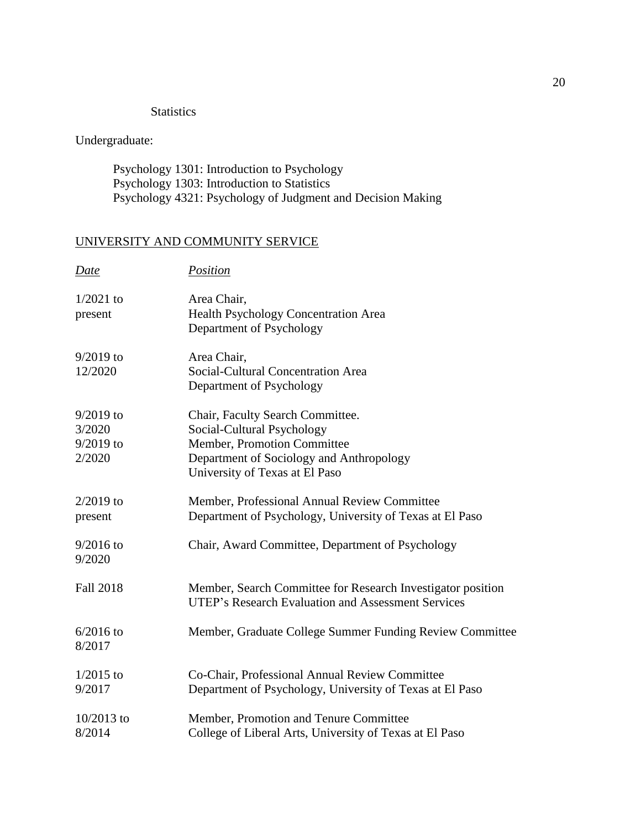## **Statistics**

Undergraduate:

Psychology 1301: Introduction to Psychology Psychology 1303: Introduction to Statistics Psychology 4321: Psychology of Judgment and Decision Making

# UNIVERSITY AND COMMUNITY SERVICE

| Date                                           | Position                                                                                                                                                                    |
|------------------------------------------------|-----------------------------------------------------------------------------------------------------------------------------------------------------------------------------|
| $1/2021$ to<br>present                         | Area Chair,<br>Health Psychology Concentration Area<br>Department of Psychology                                                                                             |
| $9/2019$ to<br>12/2020                         | Area Chair,<br>Social-Cultural Concentration Area<br>Department of Psychology                                                                                               |
| $9/2019$ to<br>3/2020<br>$9/2019$ to<br>2/2020 | Chair, Faculty Search Committee.<br>Social-Cultural Psychology<br>Member, Promotion Committee<br>Department of Sociology and Anthropology<br>University of Texas at El Paso |
| $2/2019$ to<br>present                         | Member, Professional Annual Review Committee<br>Department of Psychology, University of Texas at El Paso                                                                    |
| $9/2016$ to<br>9/2020                          | Chair, Award Committee, Department of Psychology                                                                                                                            |
| <b>Fall 2018</b>                               | Member, Search Committee for Research Investigator position<br><b>UTEP's Research Evaluation and Assessment Services</b>                                                    |
| $6/2016$ to<br>8/2017                          | Member, Graduate College Summer Funding Review Committee                                                                                                                    |
| $1/2015$ to<br>9/2017                          | Co-Chair, Professional Annual Review Committee<br>Department of Psychology, University of Texas at El Paso                                                                  |
| $10/2013$ to<br>8/2014                         | Member, Promotion and Tenure Committee<br>College of Liberal Arts, University of Texas at El Paso                                                                           |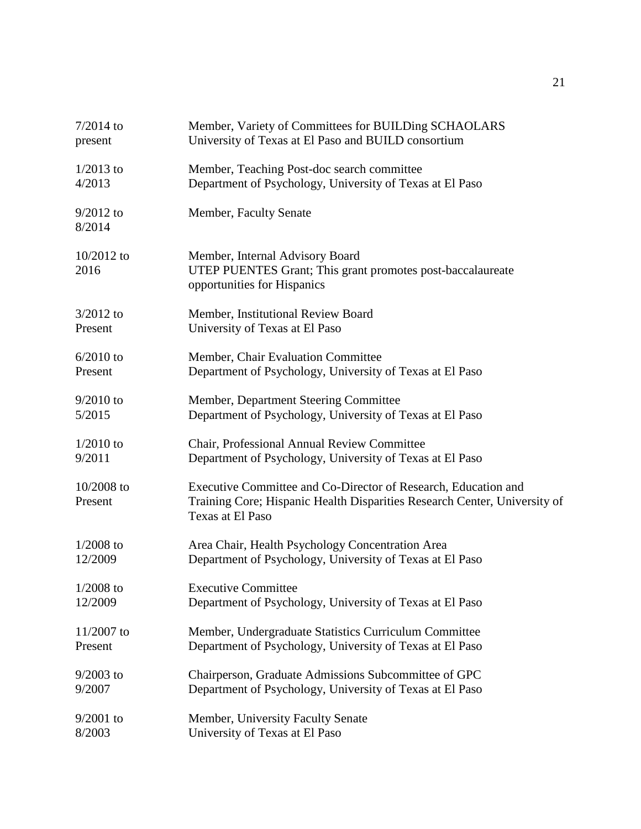| $7/2014$ to             | Member, Variety of Committees for BUILDing SCHAOLARS                                                                                                            |
|-------------------------|-----------------------------------------------------------------------------------------------------------------------------------------------------------------|
| present                 | University of Texas at El Paso and BUILD consortium                                                                                                             |
| $1/2013$ to             | Member, Teaching Post-doc search committee                                                                                                                      |
| 4/2013                  | Department of Psychology, University of Texas at El Paso                                                                                                        |
| $9/2012$ to<br>8/2014   | Member, Faculty Senate                                                                                                                                          |
| $10/2012$ to<br>2016    | Member, Internal Advisory Board<br>UTEP PUENTES Grant; This grant promotes post-baccalaureate<br>opportunities for Hispanics                                    |
| $3/2012$ to             | Member, Institutional Review Board                                                                                                                              |
| Present                 | University of Texas at El Paso                                                                                                                                  |
| $6/2010$ to             | Member, Chair Evaluation Committee                                                                                                                              |
| Present                 | Department of Psychology, University of Texas at El Paso                                                                                                        |
| $9/2010$ to             | Member, Department Steering Committee                                                                                                                           |
| 5/2015                  | Department of Psychology, University of Texas at El Paso                                                                                                        |
| $1/2010$ to             | Chair, Professional Annual Review Committee                                                                                                                     |
| 9/2011                  | Department of Psychology, University of Texas at El Paso                                                                                                        |
| $10/2008$ to<br>Present | Executive Committee and Co-Director of Research, Education and<br>Training Core; Hispanic Health Disparities Research Center, University of<br>Texas at El Paso |
| $1/2008$ to             | Area Chair, Health Psychology Concentration Area                                                                                                                |
| 12/2009                 | Department of Psychology, University of Texas at El Paso                                                                                                        |
| $1/2008$ to             | <b>Executive Committee</b>                                                                                                                                      |
| 12/2009                 | Department of Psychology, University of Texas at El Paso                                                                                                        |
| $11/2007$ to            | Member, Undergraduate Statistics Curriculum Committee                                                                                                           |
| Present                 | Department of Psychology, University of Texas at El Paso                                                                                                        |
| $9/2003$ to             | Chairperson, Graduate Admissions Subcommittee of GPC                                                                                                            |
| 9/2007                  | Department of Psychology, University of Texas at El Paso                                                                                                        |
| $9/2001$ to             | Member, University Faculty Senate                                                                                                                               |
| 8/2003                  | University of Texas at El Paso                                                                                                                                  |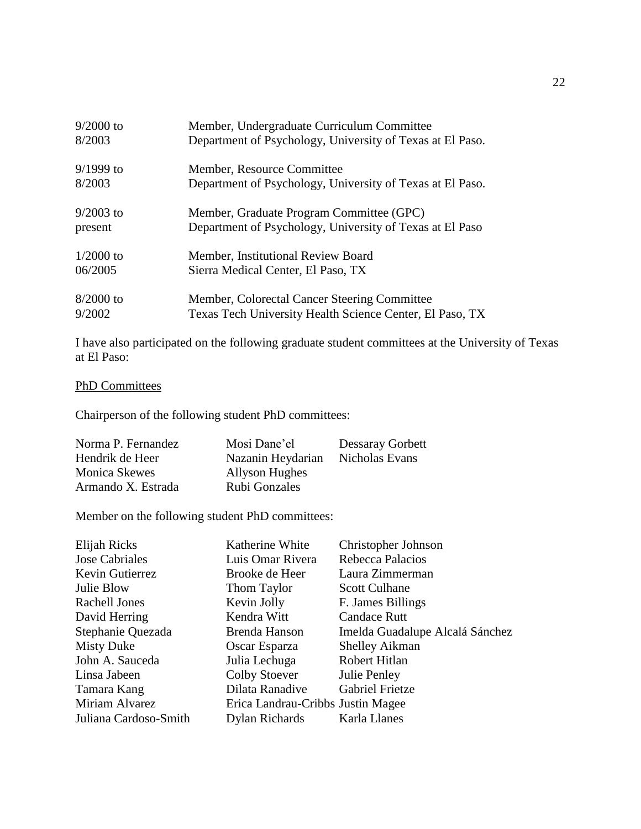| $9/2000$ to | Member, Undergraduate Curriculum Committee                |
|-------------|-----------------------------------------------------------|
| 8/2003      | Department of Psychology, University of Texas at El Paso. |
| $9/1999$ to | Member, Resource Committee                                |
| 8/2003      | Department of Psychology, University of Texas at El Paso. |
| $9/2003$ to | Member, Graduate Program Committee (GPC)                  |
| present     | Department of Psychology, University of Texas at El Paso  |
| $1/2000$ to | Member, Institutional Review Board                        |
| 06/2005     | Sierra Medical Center, El Paso, TX                        |
| $8/2000$ to | Member, Colorectal Cancer Steering Committee              |
| 9/2002      | Texas Tech University Health Science Center, El Paso, TX  |

I have also participated on the following graduate student committees at the University of Texas at El Paso:

## PhD Committees

Chairperson of the following student PhD committees:

| Norma P. Fernandez | Mosi Dane'el      | Dessaray Gorbett |
|--------------------|-------------------|------------------|
| Hendrik de Heer    | Nazanin Heydarian | Nicholas Evans   |
| Monica Skewes      | Allyson Hughes    |                  |
| Armando X. Estrada | Rubi Gonzales     |                  |

Member on the following student PhD committees:

| Elijah Ricks          | Katherine White                   | Christopher Johnson             |
|-----------------------|-----------------------------------|---------------------------------|
| Jose Cabriales        | Luis Omar Rivera                  | Rebecca Palacios                |
| Kevin Gutierrez       | Brooke de Heer                    | Laura Zimmerman                 |
| Julie Blow            | Thom Taylor                       | <b>Scott Culhane</b>            |
| Rachell Jones         | Kevin Jolly                       | F. James Billings               |
| David Herring         | Kendra Witt                       | <b>Candace Rutt</b>             |
| Stephanie Quezada     | Brenda Hanson                     | Imelda Guadalupe Alcalá Sánchez |
| <b>Misty Duke</b>     | Oscar Esparza                     | <b>Shelley Aikman</b>           |
| John A. Sauceda       | Julia Lechuga                     | Robert Hitlan                   |
| Linsa Jabeen          | <b>Colby Stoever</b>              | Julie Penley                    |
| Tamara Kang           | Dilata Ranadive                   | Gabriel Frietze                 |
| Miriam Alvarez        | Erica Landrau-Cribbs Justin Magee |                                 |
| Juliana Cardoso-Smith | Dylan Richards                    | Karla Llanes                    |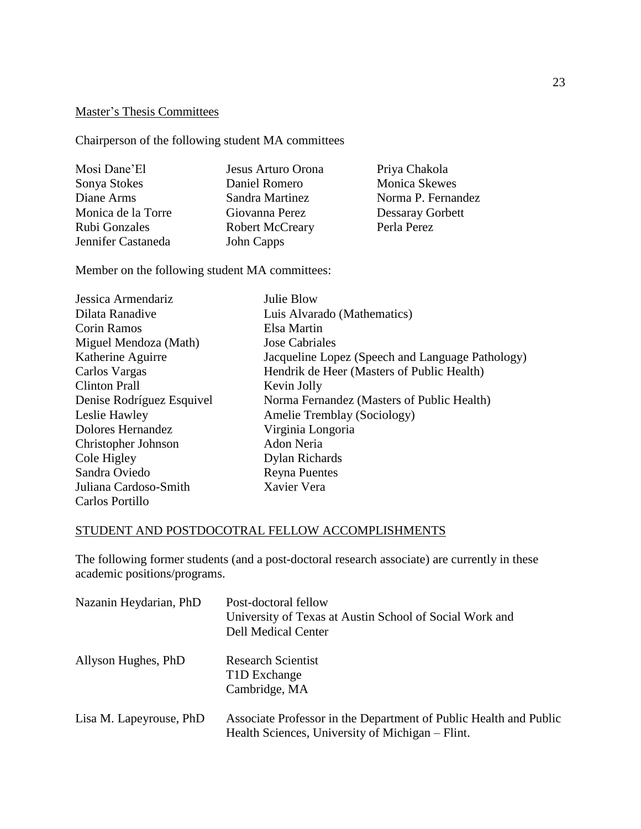## Master's Thesis Committees

Chairperson of the following student MA committees

| Mosi Dane'El       | Jesus Arturo Orona     | Priya Chakola        |
|--------------------|------------------------|----------------------|
| Sonya Stokes       | Daniel Romero          | <b>Monica Skewes</b> |
| Diane Arms         | Sandra Martinez        | Norma P. Fernandez   |
| Monica de la Torre | Giovanna Perez         | Dessaray Gorbett     |
| Rubi Gonzales      | <b>Robert McCreary</b> | Perla Perez          |
| Jennifer Castaneda | John Capps             |                      |

Member on the following student MA committees:

| Jessica Armendariz        | Julie Blow                                       |
|---------------------------|--------------------------------------------------|
| Dilata Ranadive           | Luis Alvarado (Mathematics)                      |
| Corin Ramos               | Elsa Martin                                      |
| Miguel Mendoza (Math)     | <b>Jose Cabriales</b>                            |
| Katherine Aguirre         | Jacqueline Lopez (Speech and Language Pathology) |
| Carlos Vargas             | Hendrik de Heer (Masters of Public Health)       |
| <b>Clinton Prall</b>      | Kevin Jolly                                      |
| Denise Rodríguez Esquivel | Norma Fernandez (Masters of Public Health)       |
| Leslie Hawley             | Amelie Tremblay (Sociology)                      |
| Dolores Hernandez         | Virginia Longoria                                |
| Christopher Johnson       | Adon Neria                                       |
| Cole Higley               | Dylan Richards                                   |
| Sandra Oviedo             | <b>Reyna Puentes</b>                             |
| Juliana Cardoso-Smith     | Xavier Vera                                      |
| Carlos Portillo           |                                                  |

## STUDENT AND POSTDOCOTRAL FELLOW ACCOMPLISHMENTS

The following former students (and a post-doctoral research associate) are currently in these academic positions/programs.

| Nazanin Heydarian, PhD  | Post-doctoral fellow<br>University of Texas at Austin School of Social Work and<br><b>Dell Medical Center</b>         |
|-------------------------|-----------------------------------------------------------------------------------------------------------------------|
| Allyson Hughes, PhD     | <b>Research Scientist</b><br>T <sub>1</sub> D Exchange<br>Cambridge, MA                                               |
| Lisa M. Lapeyrouse, PhD | Associate Professor in the Department of Public Health and Public<br>Health Sciences, University of Michigan – Flint. |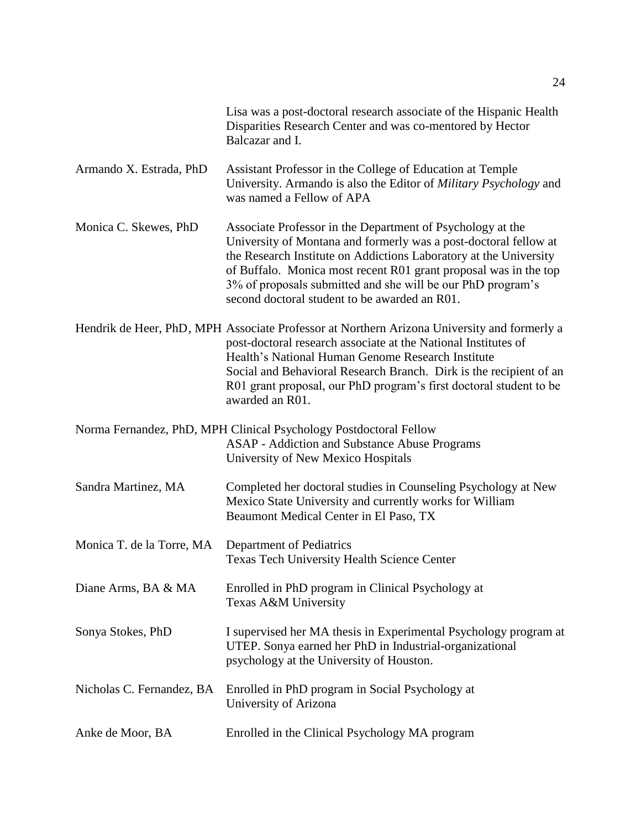|                           | Lisa was a post-doctoral research associate of the Hispanic Health<br>Disparities Research Center and was co-mentored by Hector<br>Balcazar and I.                                                                                                                                                                                                                                      |
|---------------------------|-----------------------------------------------------------------------------------------------------------------------------------------------------------------------------------------------------------------------------------------------------------------------------------------------------------------------------------------------------------------------------------------|
| Armando X. Estrada, PhD   | Assistant Professor in the College of Education at Temple<br>University. Armando is also the Editor of Military Psychology and<br>was named a Fellow of APA                                                                                                                                                                                                                             |
| Monica C. Skewes, PhD     | Associate Professor in the Department of Psychology at the<br>University of Montana and formerly was a post-doctoral fellow at<br>the Research Institute on Addictions Laboratory at the University<br>of Buffalo. Monica most recent R01 grant proposal was in the top<br>3% of proposals submitted and she will be our PhD program's<br>second doctoral student to be awarded an R01. |
|                           | Hendrik de Heer, PhD, MPH Associate Professor at Northern Arizona University and formerly a<br>post-doctoral research associate at the National Institutes of<br>Health's National Human Genome Research Institute<br>Social and Behavioral Research Branch. Dirk is the recipient of an<br>R01 grant proposal, our PhD program's first doctoral student to be<br>awarded an R01.       |
|                           | Norma Fernandez, PhD, MPH Clinical Psychology Postdoctoral Fellow<br>ASAP - Addiction and Substance Abuse Programs<br>University of New Mexico Hospitals                                                                                                                                                                                                                                |
| Sandra Martinez, MA       | Completed her doctoral studies in Counseling Psychology at New<br>Mexico State University and currently works for William<br>Beaumont Medical Center in El Paso, TX                                                                                                                                                                                                                     |
| Monica T. de la Torre, MA | Department of Pediatrics<br><b>Texas Tech University Health Science Center</b>                                                                                                                                                                                                                                                                                                          |
| Diane Arms, BA & MA       | Enrolled in PhD program in Clinical Psychology at<br>Texas A&M University                                                                                                                                                                                                                                                                                                               |
| Sonya Stokes, PhD         | I supervised her MA thesis in Experimental Psychology program at<br>UTEP. Sonya earned her PhD in Industrial-organizational<br>psychology at the University of Houston.                                                                                                                                                                                                                 |
| Nicholas C. Fernandez, BA | Enrolled in PhD program in Social Psychology at<br>University of Arizona                                                                                                                                                                                                                                                                                                                |
| Anke de Moor, BA          | Enrolled in the Clinical Psychology MA program                                                                                                                                                                                                                                                                                                                                          |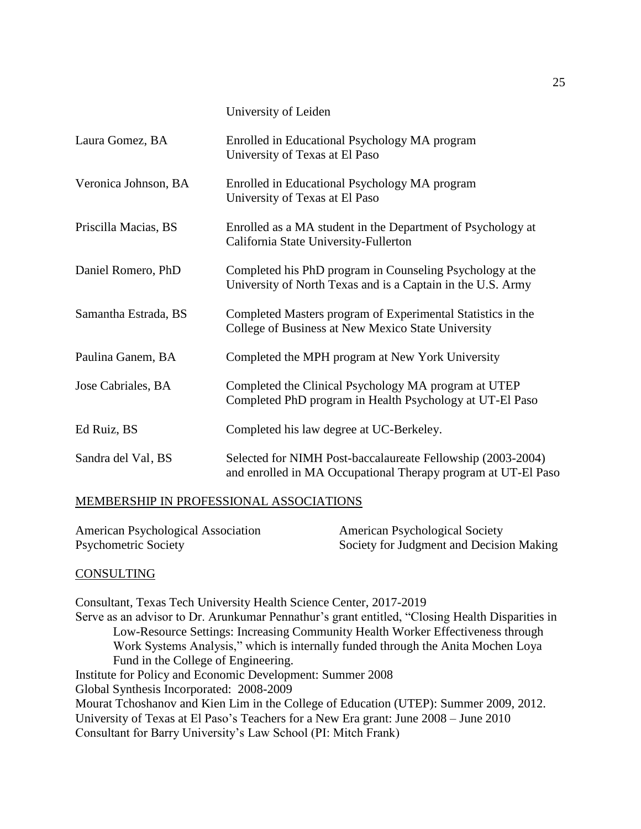University of Leiden

| Laura Gomez, BA      | Enrolled in Educational Psychology MA program<br>University of Texas at El Paso                                              |
|----------------------|------------------------------------------------------------------------------------------------------------------------------|
| Veronica Johnson, BA | Enrolled in Educational Psychology MA program<br>University of Texas at El Paso                                              |
| Priscilla Macias, BS | Enrolled as a MA student in the Department of Psychology at<br>California State University-Fullerton                         |
| Daniel Romero, PhD   | Completed his PhD program in Counseling Psychology at the<br>University of North Texas and is a Captain in the U.S. Army     |
| Samantha Estrada, BS | Completed Masters program of Experimental Statistics in the<br>College of Business at New Mexico State University            |
| Paulina Ganem, BA    | Completed the MPH program at New York University                                                                             |
| Jose Cabriales, BA   | Completed the Clinical Psychology MA program at UTEP<br>Completed PhD program in Health Psychology at UT-El Paso             |
| Ed Ruiz, BS          | Completed his law degree at UC-Berkeley.                                                                                     |
| Sandra del Val, BS   | Selected for NIMH Post-baccalaureate Fellowship (2003-2004)<br>and enrolled in MA Occupational Therapy program at UT-El Paso |

## MEMBERSHIP IN PROFESSIONAL ASSOCIATIONS

| American Psychological Association | <b>American Psychological Society</b>    |
|------------------------------------|------------------------------------------|
| Psychometric Society               | Society for Judgment and Decision Making |

## CONSULTING

Consultant, Texas Tech University Health Science Center, 2017-2019 Serve as an advisor to Dr. Arunkumar Pennathur's grant entitled, "Closing Health Disparities in Low-Resource Settings: Increasing Community Health Worker Effectiveness through Work Systems Analysis," which is internally funded through the Anita Mochen Loya Fund in the College of Engineering. Institute for Policy and Economic Development: Summer 2008 Global Synthesis Incorporated: 2008-2009 Mourat Tchoshanov and Kien Lim in the College of Education (UTEP): Summer 2009, 2012. University of Texas at El Paso's Teachers for a New Era grant: June 2008 – June 2010 Consultant for Barry University's Law School (PI: Mitch Frank)